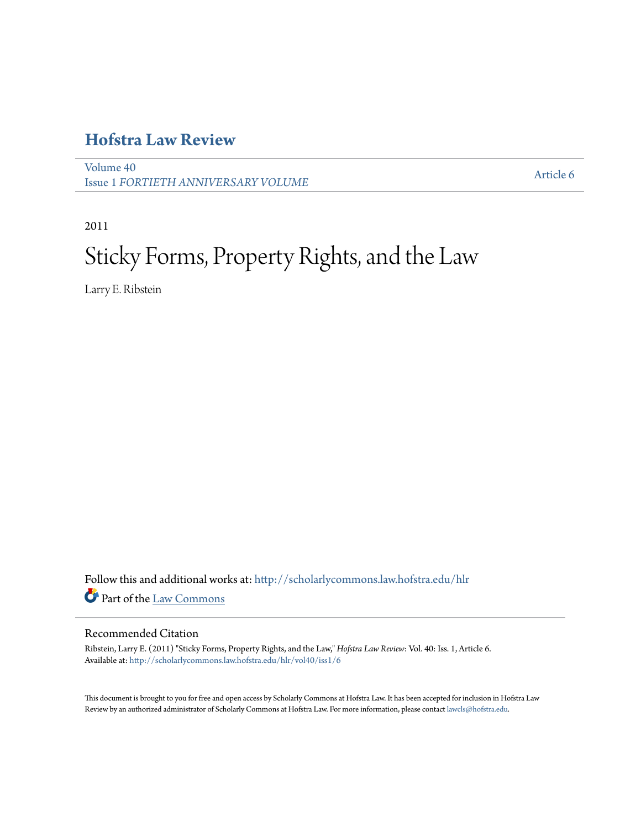# **[Hofstra Law Review](http://scholarlycommons.law.hofstra.edu/hlr?utm_source=scholarlycommons.law.hofstra.edu%2Fhlr%2Fvol40%2Fiss1%2F6&utm_medium=PDF&utm_campaign=PDFCoverPages)**

[Volume 40](http://scholarlycommons.law.hofstra.edu/hlr/vol40?utm_source=scholarlycommons.law.hofstra.edu%2Fhlr%2Fvol40%2Fiss1%2F6&utm_medium=PDF&utm_campaign=PDFCoverPages) Issue 1 *[FORTIETH ANNIVERSARY VOLUME](http://scholarlycommons.law.hofstra.edu/hlr/vol40/iss1?utm_source=scholarlycommons.law.hofstra.edu%2Fhlr%2Fvol40%2Fiss1%2F6&utm_medium=PDF&utm_campaign=PDFCoverPages)*

[Article 6](http://scholarlycommons.law.hofstra.edu/hlr/vol40/iss1/6?utm_source=scholarlycommons.law.hofstra.edu%2Fhlr%2Fvol40%2Fiss1%2F6&utm_medium=PDF&utm_campaign=PDFCoverPages)

2011

# Sticky Forms, Property Rights, and the Law

Larry E. Ribstein

Follow this and additional works at: [http://scholarlycommons.law.hofstra.edu/hlr](http://scholarlycommons.law.hofstra.edu/hlr?utm_source=scholarlycommons.law.hofstra.edu%2Fhlr%2Fvol40%2Fiss1%2F6&utm_medium=PDF&utm_campaign=PDFCoverPages) Part of the [Law Commons](http://network.bepress.com/hgg/discipline/578?utm_source=scholarlycommons.law.hofstra.edu%2Fhlr%2Fvol40%2Fiss1%2F6&utm_medium=PDF&utm_campaign=PDFCoverPages)

# Recommended Citation

Ribstein, Larry E. (2011) "Sticky Forms, Property Rights, and the Law," *Hofstra Law Review*: Vol. 40: Iss. 1, Article 6. Available at: [http://scholarlycommons.law.hofstra.edu/hlr/vol40/iss1/6](http://scholarlycommons.law.hofstra.edu/hlr/vol40/iss1/6?utm_source=scholarlycommons.law.hofstra.edu%2Fhlr%2Fvol40%2Fiss1%2F6&utm_medium=PDF&utm_campaign=PDFCoverPages)

This document is brought to you for free and open access by Scholarly Commons at Hofstra Law. It has been accepted for inclusion in Hofstra Law Review by an authorized administrator of Scholarly Commons at Hofstra Law. For more information, please contact [lawcls@hofstra.edu](mailto:lawcls@hofstra.edu).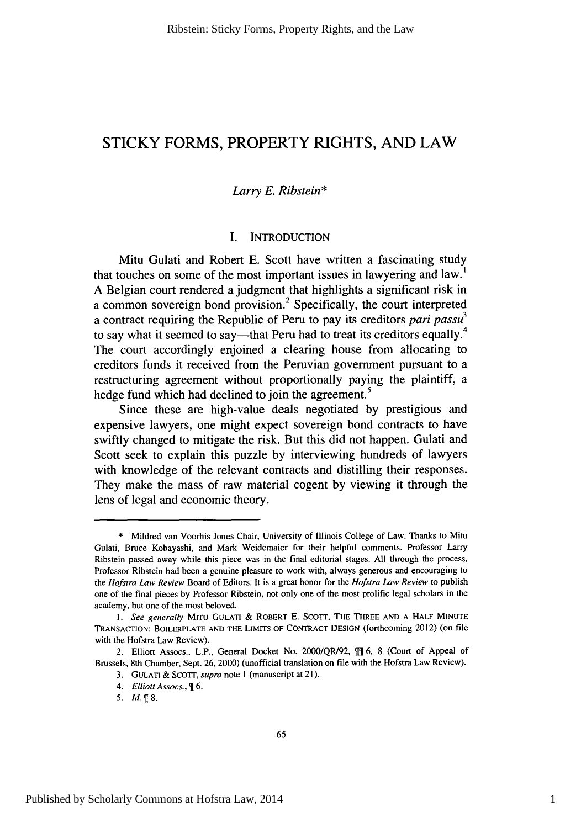# STICKY FORMS, PROPERTY **RIGHTS, AND** LAW

# *Larry E. Ribstein\**

# I. INTRODUCTION

Mitu Gulati and Robert E. Scott have written a fascinating study that touches on some of the most important issues in lawyering and  $law<sup>1</sup>$ A Belgian court rendered a judgment that highlights a significant risk in a common sovereign bond provision.2 Specifically, the court interpreted a contract requiring the Republic of Peru to pay its creditors *pari passu3* to say what it seemed to say—that Peru had to treat its creditors equally.<sup>4</sup> The court accordingly enjoined a clearing house from allocating to creditors funds it received from the Peruvian government pursuant to a restructuring agreement without proportionally paying the plaintiff, a hedge fund which had declined to join the agreement.<sup>5</sup>

Since these are high-value deals negotiated by prestigious and expensive lawyers, one might expect sovereign bond contracts to have swiftly changed to mitigate the risk. But this did not happen. Gulati and Scott seek to explain this puzzle by interviewing hundreds of lawyers with knowledge of the relevant contracts and distilling their responses. They make the mass of raw material cogent by viewing it through the lens of legal and economic theory.

<sup>\*</sup> Mildred van Voorhis Jones Chair, University of Illinois College of Law. Thanks to Mitu Gulati, Bruce Kobayashi, and Mark Weidemaier for their helpful comments. Professor Larry Ribstein passed away while this piece was in the final editorial stages. All through the process, Professor Ribstein had been a genuine pleasure to work with, always generous and encouraging to the *Hofstra Law Review* Board of Editors. It is a great honor for the *Hofstra Law Review* to publish one of the final pieces by Professor Ribstein, not only one of the most prolific legal scholars in the academy, but one of the most beloved.

<sup>1.</sup> See generally MITU GULATI & ROBERT E. SCOTT, THE THREE AND A HALF MINUTE TRANSACTION: BOILERPLATE AND THE LIMITS OF **CONTRACT DESIGN** (forthcoming 2012) (on file with the Hofstra Law Review).

<sup>2.</sup> Elliott Assocs., L.P., General Docket No. 2000/QR/92, **fi** 6, 8 (Court of Appeal of Brussels, 8th Chamber, Sept. 26, 2000) (unofficial translation on file with the Hofstra Law Review).

<sup>3.</sup> **GULATI** & SCOTT, *supra* note **I** (manuscript at 21).

*<sup>4.</sup>* Elliott Assocs., **6.**

*<sup>5.</sup> Id. 8.*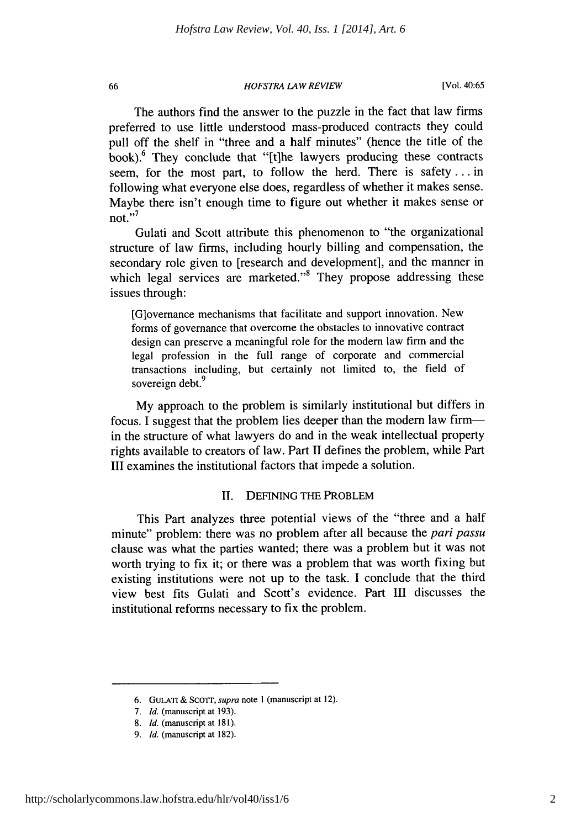## *HOFSTRA LAW REVIEW*

The authors find the answer to the puzzle in the fact that law firms preferred to use little understood mass-produced contracts they could pull off the shelf in "three and a half minutes" (hence the title of the book). $6$  They conclude that "[t]he lawyers producing these contracts seem, for the most part, to follow the herd. There is safety.., in following what everyone else does, regardless of whether it makes sense. Maybe there isn't enough time to figure out whether it makes sense or  $\frac{1}{2}$  not."

Gulati and Scott attribute this phenomenon to "the organizational structure of law firms, including hourly billing and compensation, the secondary role given to [research and development], and the manner in which legal services are marketed."<sup>8</sup> They propose addressing these issues through:

[Glovemance mechanisms that facilitate and support innovation. New forms of governance that overcome the obstacles to innovative contract design can preserve a meaningful role for the modem law firm and the legal profession in the full range of corporate and commercial transactions including, but certainly not limited to, the field of sovereign debt.<sup>9</sup>

My approach to the problem is similarly institutional but differs in focus. I suggest that the problem lies deeper than the modem law firmin the structure of what lawyers do and in the weak intellectual property rights available to creators of law. Part II defines the problem, while Part III examines the institutional factors that impede a solution.

# II. DEFINING THE PROBLEM

This Part analyzes three potential views of the "three and a half minute" problem: there was no problem after all because the *pari passu* clause was what the parties wanted; there was a problem but it was not worth trying to fix it; or there was a problem that was worth fixing but existing institutions were not up to the task. I conclude that the third view best fits Gulati and Scott's evidence. Part III discusses the institutional reforms necessary to fix the problem.

<sup>6.</sup> GULATI & SCOTT, supra note 1 (manuscript at 12).

<sup>7.</sup> *Id.* (manuscript at 193).

<sup>8.</sup> *Id.* (manuscript at 181).

*<sup>9.</sup> Id.* (manuscript at 182).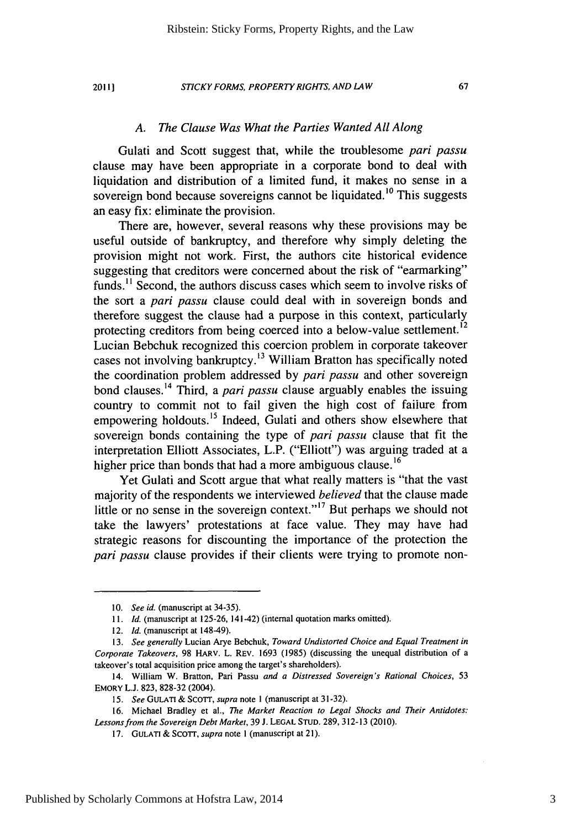2011}

## STICKY FORMS, PROPERTY RIGHTS, AND LAW

# *A. The Clause Was What the Parties Wanted All Along*

Gulati and Scott suggest that, while the troublesome pari *passu* clause may have been appropriate in a corporate bond to deal with liquidation and distribution of a limited fund, it makes no sense in a sovereign bond because sovereigns cannot be liquidated.<sup>10</sup> This suggests an easy fix: eliminate the provision.

There are, however, several reasons why these provisions may be useful outside of bankruptcy, and therefore why simply deleting the provision might not work. First, the authors cite historical evidence suggesting that creditors were concerned about the risk of "earmarking" funds.<sup>11</sup> Second, the authors discuss cases which seem to involve risks of the sort a pari *passu* clause could deal with in sovereign bonds and therefore suggest the clause had a purpose in this context, particularly protecting creditors from being coerced into a below-value settlement.<sup>12</sup> Lucian Bebchuk recognized this coercion problem in corporate takeover cases not involving bankruptcy.13 William Bratton has specifically noted the coordination problem addressed by pari *passu* and other sovereign bond clauses. 14 Third, a pari *passu* clause arguably enables the issuing country to commit not to fail given the high cost of failure from empowering holdouts.<sup>15</sup> Indeed, Gulati and others show elsewhere that sovereign bonds containing the type of pari *passu* clause that fit the interpretation Elliott Associates, L.P. ("Elliott") was arguing traded at a higher price than bonds that had a more ambiguous clause.<sup>16</sup>

Yet Gulati and Scott argue that what really matters is "that the vast majority of the respondents we interviewed *believed* that the clause made little or no sense in the sovereign context."<sup>17</sup> But perhaps we should not take the lawyers' protestations at face value. They may have had strategic reasons for discounting the importance of the protection the pari *passu* clause provides if their clients were trying to promote non-

<sup>10.</sup> *See id.* (manuscript at 34-35).

<sup>11.</sup> *Id.* (manuscript at 125-26, 141-42) (internal quotation marks omitted).

<sup>12.</sup> *Id.* (manuscript at 148-49).

<sup>13.</sup> *See generally* Lucian Arye Bebchuk, *Toward Undistorted* Choice *and Equal Treatment in* Corporate Takeovers, 98 HARV. L. REV. 1693 (1985) (discussing the unequal distribution of a takeover's total acquisition price among the target's shareholders).

<sup>14.</sup> William W. Bratton, Pari Passu *and a Distressed Sovereign's Rational Choices,* 53 EMORY L.J. 823, 828-32 (2004).

<sup>15.</sup> *See* **GULATI** & **ScOTT,** *supra* note 1 (manuscript at 31-32).

<sup>16.</sup> Michael Bradley et al., *The Market Reaction to Legal Shocks and Their Antidotes: Lessons from the Sovereign Debt Market,* 39 J. LEGAL STUD. 289, 312-13 (2010).

<sup>17.</sup> GULATI & ScoTT, *supra* note I (manuscript at 21).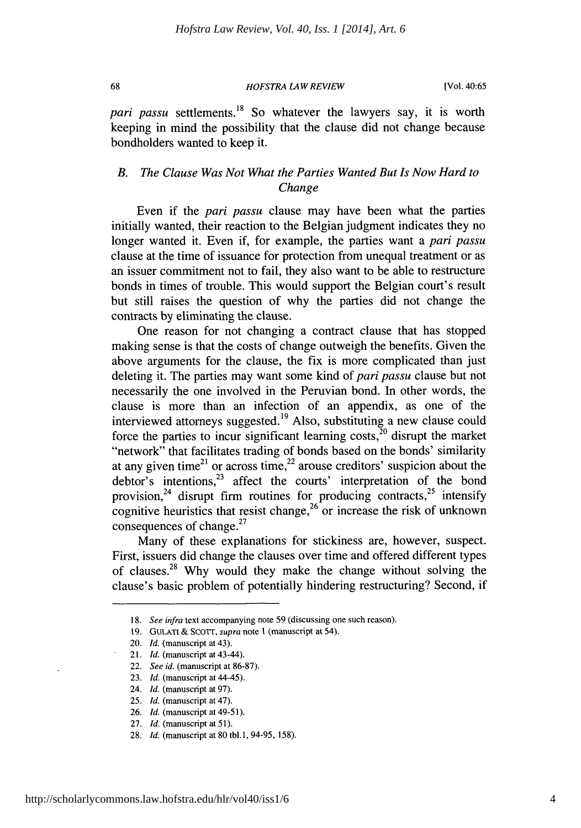*HOFSTRA LAW REVIEW*

*pari passu* settlements.<sup>18</sup> So whatever the lawyers say, it is worth keeping in mind the possibility that the clause did not change because bondholders wanted to keep it.

# *B. The Clause Was Not What the Parties Wanted But Is Now Hard to* Change

Even if the *pari passu* clause may have been what the parties initially wanted, their reaction to the Belgian judgment indicates they no longer wanted it. Even if, for example, the parties want a *pari passu* clause at the time of issuance for protection from unequal treatment or as an issuer commitment not to fail, they also want to be able to restructure bonds in times of trouble. This would support the Belgian court's result but still raises the question of why the parties did not change the contracts by eliminating the clause.

One reason for not changing a contract clause that has stopped making sense is that the costs of change outweigh the benefits. Given the above arguments for the clause, the fix is more complicated than just deleting it. The parties may want some kind of *pari passu* clause but not necessarily the one involved in the Peruvian bond. In other words, the clause is more than an infection of an appendix, as one of the interviewed attorneys suggested. 19 Also, substituting a new clause could force the parties to incur significant learning costs, $20$  disrupt the market "network" that facilitates trading of bonds based on the bonds' similarity at any given time $e^{21}$  or across time,  $e^{22}$  arouse creditors' suspicion about the debtor's intentions,<sup>23</sup> affect the courts' interpretation of the bond provision,  $24$  disrupt firm routines for producing contracts,  $25$  intensify cognitive heuristics that resist change,  $26$  or increase the risk of unknown **27** consequences of change.

Many of these explanations for stickiness are, however, suspect. First, issuers did change the clauses over time and offered different types of clauses.<sup>28</sup> Why would they make the change without solving the clause's basic problem of potentially hindering restructuring? Second, if

<sup>18.</sup> See infra text accompanying note 59 (discussing one such reason).

<sup>19.</sup> GULATI **&** SCOTT, supra note **I** (manuscript at 54).

<sup>20.</sup> *Id.* (manuscript at 43).

<sup>21.</sup> *Id.* (manuscript at 43-44).

<sup>22.</sup> *See id.* (manuscript at 86-87).

<sup>23.</sup> *Id.* (manuscript at 44-45).

<sup>24.</sup> *Id.* (manuscript at 97).

<sup>25.</sup> *Id.* (manuscript at 47).

<sup>26.</sup> *Id.* (manuscript at 49-51).

<sup>27.</sup> *Id.* (manuscript at **51).**

<sup>28.</sup> *Id.* (manuscript at 80 tbl.1, 94-95, 158).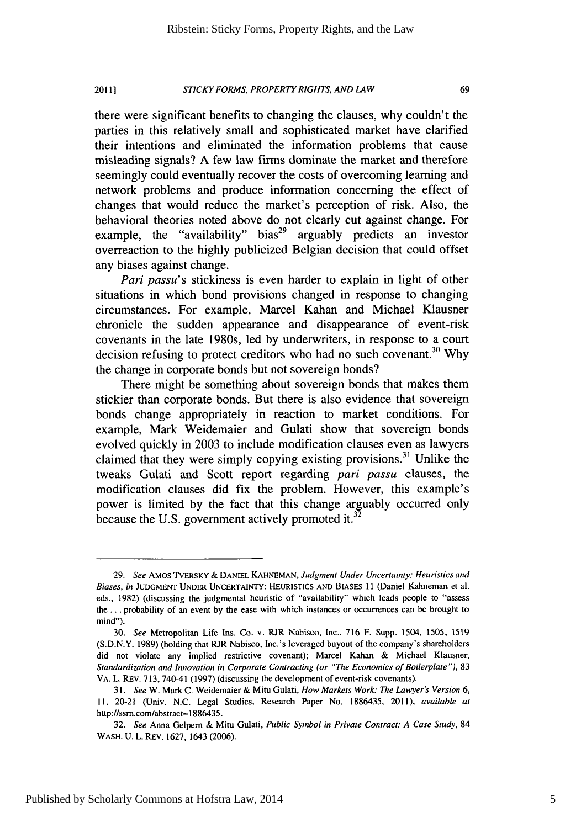#### *STICKY FORMS, PROPERTY RIGHTS, AND LAW* 20111

there were significant benefits to changing the clauses, why couldn't the parties in this relatively small and sophisticated market have clarified their intentions and eliminated the information problems that cause misleading signals? A few law firms dominate the market and therefore seemingly could eventually recover the costs of overcoming learning and network problems and produce information concerning the effect of changes that would reduce the market's perception of risk. Also, the behavioral theories noted above do not clearly cut against change. For example, the "availability" bias<sup>29</sup> arguably predicts an investor overreaction to the highly publicized Belgian decision that could offset any biases against change.

*Pari passu's* stickiness is even harder to explain in light of other situations in which bond provisions changed in response to changing circumstances. For example, Marcel Kahan and Michael Klausner chronicle the sudden appearance and disappearance of event-risk covenants in the late 1980s, led by underwriters, in response to a court decision refusing to protect creditors who had no such covenant.<sup>30</sup> Why the change in corporate bonds but not sovereign bonds?

There might be something about sovereign bonds that makes them stickier than corporate bonds. But there is also evidence that sovereign bonds change appropriately in reaction to market conditions. For example, Mark Weidemaier and Gulati show that sovereign bonds evolved quickly in 2003 to include modification clauses even as lawyers claimed that they were simply copying existing provisions. 3' Unlike the tweaks Gulati and Scott report regarding *pari passu* clauses, the modification clauses did fix the problem. However, this example's power is limited by the fact that this change arguably occurred only because the U.S. government actively promoted it.<sup>32</sup>

**<sup>29.</sup>** *See* AMos TVERSKY & **DANIEL KAHNEMAN,** *Judgment Under Uncertainty: Heuristics and Biases, in* **JUDGMENT UNDER** UNCERTAINTY: **HEURISTICS AND BIASES** 11 (Daniel Kahneman et al. eds., 1982) (discussing the judgmental heuristic of "availability" which leads people to "assess the... probability of an event by the ease with which instances or occurrences can be brought to mind").

<sup>30.</sup> *See* Metropolitan Life Ins. Co. v. RJR Nabisco, Inc., 716 F. Supp. 1504, 1505, 1519 (S.D.N.Y. 1989) (holding that RJR Nabisco, Inc.'s leveraged buyout of the company's shareholders did not violate any implied restrictive covenant); Marcel Kahan & Michael Klausner, *Standardization and Innovation in Corporate Contracting (or "The Economics of Boilerplate"),* 83 VA. L. REV. 713, 740-41 (1997) (discussing the development of event-risk covenants).

<sup>31.</sup> *See* W. Mark C. Weidemaier & Mitu Gulati, *How Markets Work: The Lawyer's Version 6,* **11,** 20-21 (Univ. N.C. Legal Studies, Research Paper No. 1886435, 2011), *available at* http://ssrn.com/abstract=1886435.

<sup>32.</sup> *See* Anna Gelpern & Mitu Gulati, *Public Symbol in Private Contract: A Case Study,* 84 WASH. U. L. REV. 1627, 1643 (2006).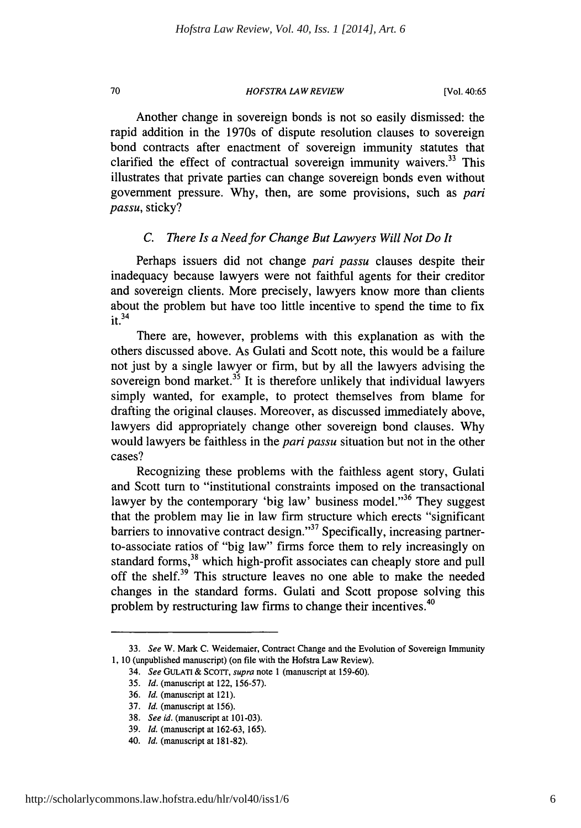# *HOFSTRA LAW REVIEW*

70

Another change in sovereign bonds is not so easily dismissed: the rapid addition in the 1970s of dispute resolution clauses to sovereign bond contracts after enactment of sovereign immunity statutes that clarified the effect of contractual sovereign immunity waivers.<sup>33</sup> This illustrates that private parties can change sovereign bonds even without government pressure. Why, then, are some provisions, such as *pari passu,* sticky?

# *C. There Is a Need for Change But Lawyers Will Not Do It*

Perhaps issuers did not change *pari passu* clauses despite their inadequacy because lawyers were not faithful agents for their creditor and sovereign clients. More precisely, lawyers know more than clients about the problem but have too little incentive to spend the time to fix  $it.<sup>34</sup>$ 

There are, however, problems with this explanation as with the others discussed above. As Gulati and Scott note, this would be a failure not just by a single lawyer or firm, but by all the lawyers advising the sovereign bond market. $3^5$  It is therefore unlikely that individual lawyers simply wanted, for example, to protect themselves from blame for drafting the original clauses. Moreover, as discussed immediately above, lawyers did appropriately change other sovereign bond clauses. Why would lawyers be faithless in the *pari passu* situation but not in the other cases?

Recognizing these problems with the faithless agent story, Gulati and Scott turn to "institutional constraints imposed on the transactional lawyer by the contemporary 'big law' business model."<sup>36</sup> They suggest that the problem may lie in law firm structure which erects "significant barriers to innovative contract design."<sup>37</sup> Specifically, increasing partnerto-associate ratios of "big law" firms force them to rely increasingly on standard forms,<sup>38</sup> which high-profit associates can cheaply store and pull off the shelf.<sup>39</sup> This structure leaves no one able to make the needed changes in the standard forms. Gulati and Scott propose solving this problem by restructuring law firms to change their incentives.<sup>40</sup>

<sup>33.</sup> *See* W. Mark C. Weidemaier, Contract Change and the Evolution of Sovereign Immunity 1, 10 (unpublished manuscript) (on file with the Hofstra Law Review).

<sup>34.</sup> *See* GULATI & SCOTT, supra note 1 (manuscript at 159-60).

<sup>35.</sup> *Id.* (manuscript at 122, 156-57).

<sup>36.</sup> *Id.* (manuscript at 121).

<sup>37.</sup> *Id.* (manuscript at 156).

<sup>38.</sup> *See id.* (manuscript at 101-03).

<sup>39.</sup> *Id.* (manuscript at 162-63, 165).

<sup>40.</sup> *Id.* (manuscript at 181-82).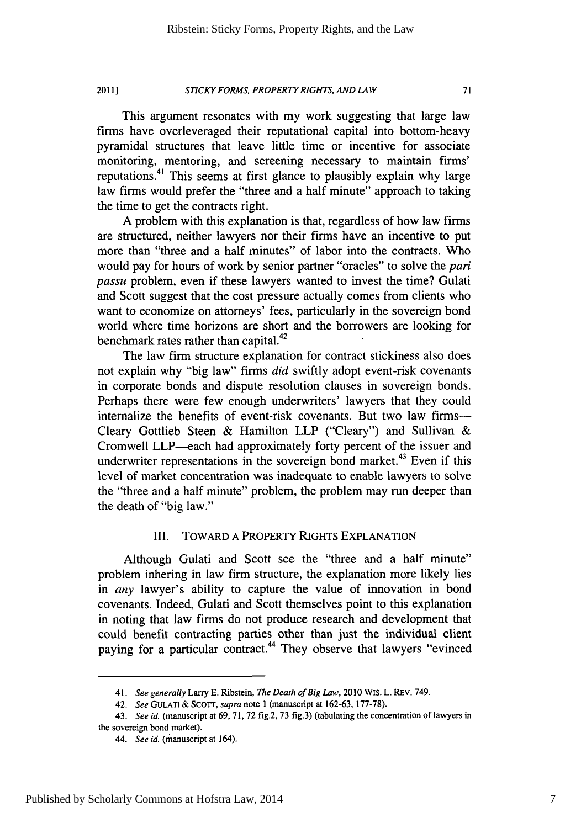#### *STICKY* FORMS, PROPERTY RIGHTS, **AND LAW** 20111

This argument resonates with my work suggesting that large law firms have overleveraged their reputational capital into bottom-heavy pyramidal structures that leave little time or incentive for associate monitoring, mentoring, and screening necessary to maintain firms' reputations.<sup>41</sup> This seems at first glance to plausibly explain why large law firms would prefer the "three and a half minute" approach to taking the time to get the contracts right.

A problem with this explanation is that, regardless of how law firms are structured, neither lawyers nor their firms have an incentive to put more than "three and a half minutes" of labor into the contracts. Who would pay for hours of work by senior partner "oracles" to solve the *pari passu* problem, even if these lawyers wanted to invest the time? Gulati and Scott suggest that the cost pressure actually comes from clients who want to economize on attorneys' fees, particularly in the sovereign bond world where time horizons are short and the borrowers are looking for benchmark rates rather than capital.<sup>42</sup>

The law firm structure explanation for contract stickiness also does not explain why "big law" firms *did* swiftly adopt event-risk covenants in corporate bonds and dispute resolution clauses in sovereign bonds. Perhaps there were few enough underwriters' lawyers that they could internalize the benefits of event-risk covenants. But two law firms-Cleary Gottlieb Steen & Hamilton LLP ("Cleary") and Sullivan & Cromwell LLP-each had approximately forty percent of the issuer and underwriter representations in the sovereign bond market.<sup>43</sup> Even if this level of market concentration was inadequate to enable lawyers to solve the "three and a half minute" problem, the problem may run deeper than the death of "big law."

# III. TOWARD A PROPERTY RIGHTS EXPLANATION

Although Gulati and Scott see the "three and a half minute" problem inhering in law firm structure, the explanation more likely lies in *any* lawyer's ability to capture the value of innovation in bond covenants. Indeed, Gulati and Scott themselves point to this explanation in noting that law firms do not produce research and development that could benefit contracting parties other than just the individual client paying for a particular contract.<sup>44</sup> They observe that lawyers "evinced

<sup>41.</sup> *See generally* Larry E. Ribstein, *The Death of Big Law,* 2010 WIS. L. REV. 749.

<sup>42.</sup> See **GULATI** & ScoTT, *supra* note 1 (manuscript at 162-63, 177-78).

<sup>43.</sup> *See id.* (manuscript at 69, 71, 72 fig.2, 73 fig.3) (tabulating the concentration of lawyers in the sovereign bond market).

*<sup>44.</sup> See id.* (manuscript at 164).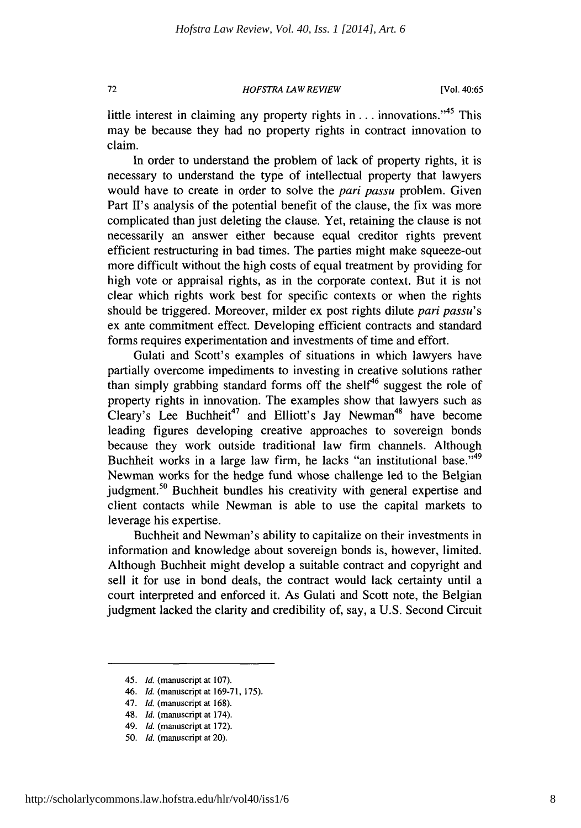*HOFSTRA LAW REVIEW*

little interest in claiming any property rights in . . . innovations.<sup>45</sup> This may be because they had no property rights in contract innovation to claim.

In order to understand the problem of lack of property rights, it is necessary to understand the type of intellectual property that lawyers would have to create in order to solve the pari *passu* problem. Given Part II's analysis of the potential benefit of the clause, the fix was more complicated than just deleting the clause. Yet, retaining the clause is not necessarily an answer either because equal creditor rights prevent efficient restructuring in bad times. The parties might make squeeze-out more difficult without the high costs of equal treatment by providing for high vote or appraisal rights, as in the corporate context. But it is not clear which rights work best for specific contexts or when the rights should be triggered. Moreover, milder ex post rights dilute pari *passu's* ex ante commitment effect. Developing efficient contracts and standard forms requires experimentation and investments of time and effort.

Gulati and Scott's examples of situations in which lawyers have partially overcome impediments to investing in creative solutions rather than simply grabbing standard forms off the shelf<sup>46</sup> suggest the role of property rights in innovation. The examples show that lawyers such as Cleary's Lee Buchheit<sup>47</sup> and Elliott's Jay Newman<sup>48</sup> have become leading figures developing creative approaches to sovereign bonds because they work outside traditional law firm channels. Although Buchheit works in a large law firm, he lacks "an institutional base."<sup>49</sup> Newman works for the hedge fund whose challenge led to the Belgian judgment.<sup>50</sup> Buchheit bundles his creativity with general expertise and client contacts while Newman is able to use the capital markets to leverage his expertise.

Buchheit and Newman's ability to capitalize on their investments in information and knowledge about sovereign bonds is, however, limited. Although Buchheit might develop a suitable contract and copyright and sell it for use in bond deals, the contract would lack certainty until a court interpreted and enforced it. As Gulati and Scott note, the Belgian judgment lacked the clarity and credibility of, say, a U.S. Second Circuit

- 46. *Id.* (manuscript at 169-71, 175).
- 47. *Id.* (manuscript at 168).
- 48. *Id.* (manuscript at 174).
- 49. *Id.* (manuscript at 172). 50. *Id.* (manuscript at 20).

72

<sup>45.</sup> *Id.* (manuscript at 107).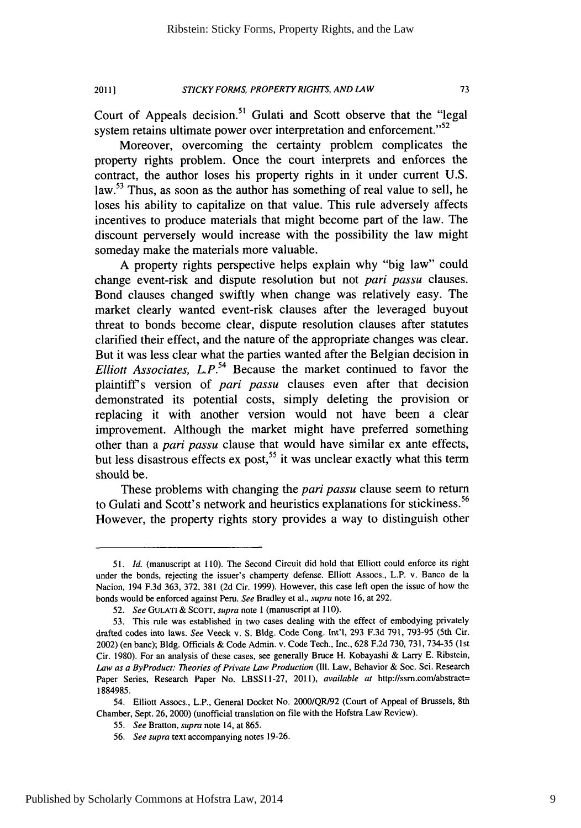### *STICKY FORMS, PROPERTY RIGHTS, AND LAW* **20111**

Court of Appeals decision.<sup>51</sup> Gulati and Scott observe that the "legal system retains ultimate power over interpretation and enforcement.<sup>''52</sup>

Moreover, overcoming the certainty problem complicates the property rights problem. Once the court interprets and enforces the contract, the author loses his property rights in it under current U.S. law.<sup>53</sup> Thus, as soon as the author has something of real value to sell, he loses his ability to capitalize on that value. This rule adversely affects incentives to produce materials that might become part of the law. The discount perversely would increase with the possibility the law might someday make the materials more valuable.

A property rights perspective helps explain why "big law" could change event-risk and dispute resolution but not pari *passu* clauses. Bond clauses changed swiftly when change was relatively easy. The market clearly wanted event-risk clauses after the leveraged buyout threat to bonds become clear, dispute resolution clauses after statutes clarified their effect, and the nature of the appropriate changes was clear. But it was less clear what the parties wanted after the Belgian decision in *Elliott Associates, L.P.*<sup>54</sup> Because the market continued to favor the plaintiffs version of pari *passu* clauses even after that decision demonstrated its potential costs, simply deleting the provision or replacing it with another version would not have been a clear improvement. Although the market might have preferred something other than a pari *passu* clause that would have similar ex ante effects, but less disastrous effects ex post,<sup>55</sup> it was unclear exactly what this term should be.

These problems with changing the pari *passu* clause seem to return to Gulati and Scott's network and heuristics explanations for stickiness.<sup>56</sup> However, the property rights story provides a way to distinguish other

<sup>51.</sup> *Id.* (manuscript at 110). The Second Circuit did hold that Elliott could enforce its right under the bonds, rejecting the issuer's champerty defense. Elliott Assocs., L.P. v. Banco de la Nacion, 194 F.3d 363, 372, 381 (2d Cir. 1999). However, this case left open the issue of how the bonds would be enforced against Peru. *See* Bradley et al., supra note 16, at 292.

<sup>52.</sup> *See* **GULATI** & Scorr, supra note 1 (manuscript at **110).**

<sup>53.</sup> This rule was established in two cases dealing with the effect of embodying privately drafted codes into laws. *See* Veeck v. S. Bldg. Code Cong. Int'l, 293 F.3d 791, 793-95 (5th Cir. 2002) (en banc); Bldg. Officials & Code Admin. v. Code Tech., Inc., 628 F.2d 730, 731, 734-35 (1st Cir. 1980). For an analysis of these cases, see generally Bruce H. Kobayashi & Larry E. Ribstein, *Law as a ByProduct: Theories of Private Law Production* **(I11.** Law, Behavior & Soc. Sci. Research Paper Series, Research Paper No. LBSSI1-27, 2011), available *at* http://ssrn.comlabstract= 1884985.

<sup>54.</sup> Elliott Assocs., L.P., General Docket No. 2000/QR/92 (Court of Appeal of Brussels, 8th Chamber, Sept. 26, 2000) (unofficial translation on file with the Hofstra Law Review).

<sup>55.</sup> *See* Bratton, *supra* note 14, at 865.

<sup>56.</sup> *See supra* text accompanying notes 19-26.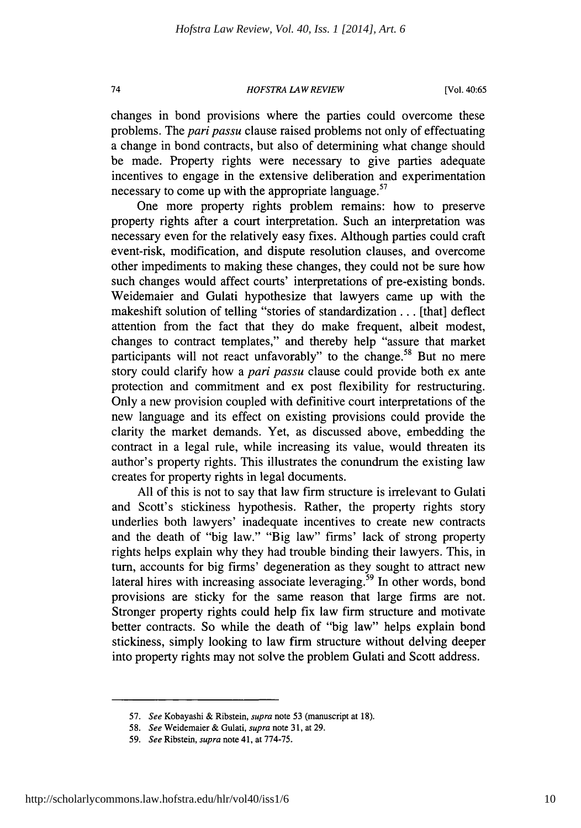# *HOFSTRA LAW REVIEW*

74

changes in bond provisions where the parties could overcome these problems. The *pari passu* clause raised problems not only of effectuating a change in bond contracts, but also of determining what change should be made. Property rights were necessary to give parties adequate incentives to engage in the extensive deliberation and experimentation necessary to come up with the appropriate language. $57$ 

One more property rights problem remains: how to preserve property rights after a court interpretation. Such an interpretation was necessary even for the relatively easy fixes. Although parties could craft event-risk, modification, and dispute resolution clauses, and overcome other impediments to making these changes, they could not be sure how such changes would affect courts' interpretations of pre-existing bonds. Weidemaier and Gulati hypothesize that lawyers came up with the makeshift solution of telling "stories of standardization... [that] deflect attention from the fact that they do make frequent, albeit modest, changes to contract templates," and thereby help "assure that market participants will not react unfavorably" to the change.<sup>58</sup> But no mere story could clarify how a *pari passu* clause could provide both ex ante protection and commitment and ex post flexibility for restructuring. Only a new provision coupled with definitive court interpretations of the new language and its effect on existing provisions could provide the clarity the market demands. Yet, as discussed above, embedding the contract in a legal rule, while increasing its value, would threaten its author's property rights. This illustrates the conundrum the existing law creates for property rights in legal documents.

All of this is not to say that law firm structure is irrelevant to Gulati and Scott's stickiness hypothesis. Rather, the property rights story underlies both lawyers' inadequate incentives to create new contracts and the death of "big law." "Big law" firms' lack of strong property rights helps explain why they had trouble binding their lawyers. This, in turn, accounts for big firms' degeneration as they sought to attract new lateral hires with increasing associate leveraging.<sup>59</sup> In other words, bond provisions are sticky for the same reason that large firms are not. Stronger property rights could help fix law firm structure and motivate better contracts. So while the death of "big law" helps explain bond stickiness, simply looking to law firm structure without delving deeper into property rights may not solve the problem Gulati and Scott address.

<sup>57.</sup> *See* Kobayashi & Ribstein, *supra* note 53 (manuscript at 18).

<sup>58.</sup> *See* Weidemaier & Gulati, *supra* note 31, at 29.

<sup>59.</sup> *See* Ribstein, *supra* note 41, at 774-75.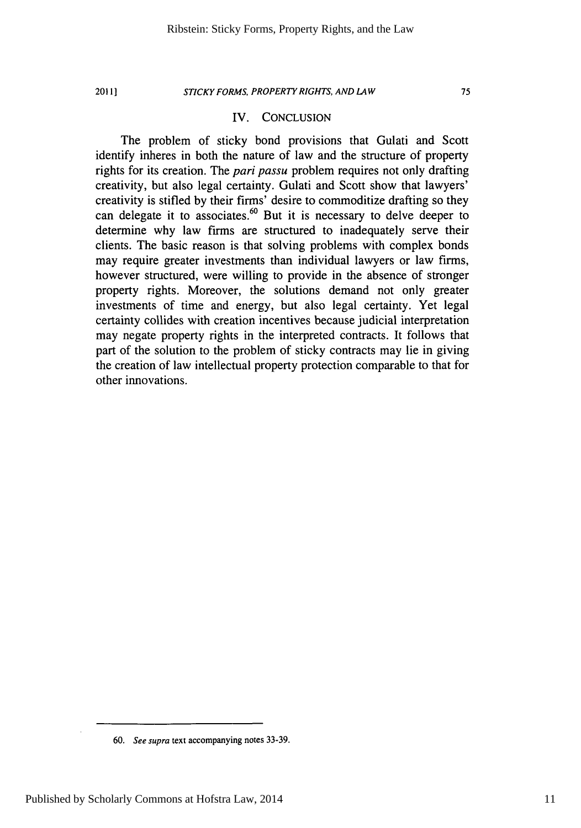**2011]**

# *STICKY FORMS, PROPERTY RIGHTS, AND LAW*

# IV. CONCLUSION

The problem of sticky bond provisions that Gulati and Scott identify inheres in both the nature of law and the structure of property rights for its creation. The *pari passu* problem requires not only drafting creativity, but also legal certainty. Gulati and Scott show that lawyers' creativity is stifled by their firms' desire to commoditize drafting so they can delegate it to associates.<sup>60</sup> But it is necessary to delve deeper to determine why law firms are structured to inadequately serve their clients. The basic reason is that solving problems with complex bonds may require greater investments than individual lawyers or law firms, however structured, were willing to provide in the absence of stronger property rights. Moreover, the solutions demand not only greater investments of time and energy, but also legal certainty. Yet legal certainty collides with creation incentives because judicial interpretation may negate property rights in the interpreted contracts. It follows that part of the solution to the problem of sticky contracts may lie in giving the creation of law intellectual property protection comparable to that for other innovations.

<sup>60.</sup> *See supra* text accompanying notes 33-39.